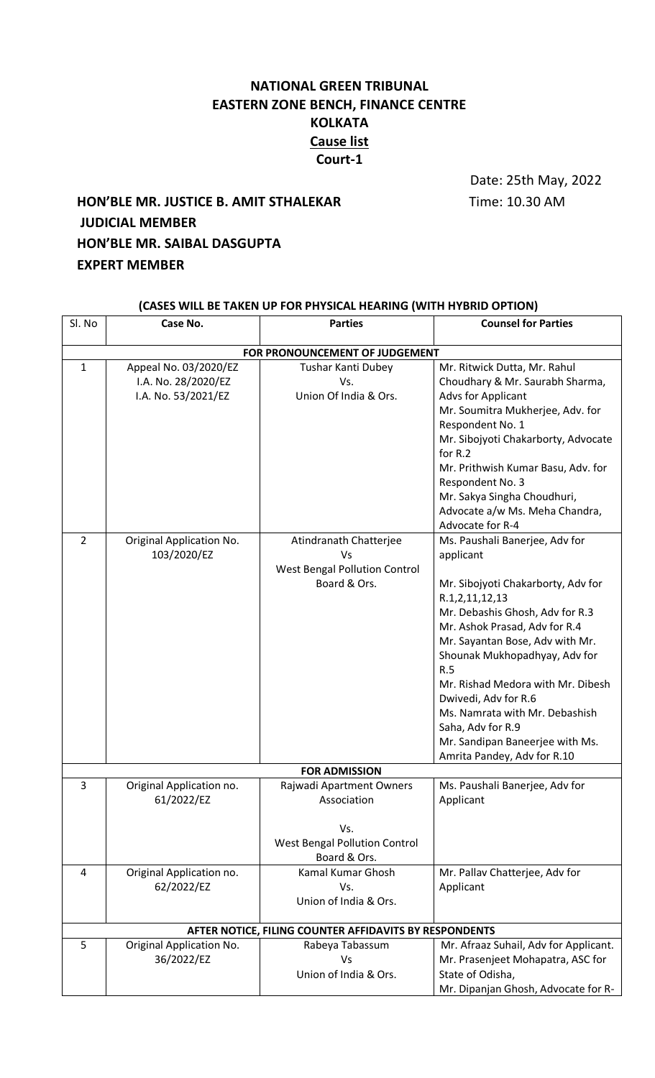## **NATIONAL GREEN TRIBUNAL EASTERN ZONE BENCH, FINANCE CENTRE KOLKATA Cause list Court-1**

Date: 25th May, 2022

# **HON'BLE MR. JUSTICE B. AMIT STHALEKAR** Time: 10.30 AM **JUDICIAL MEMBER HON'BLE MR. SAIBAL DASGUPTA EXPERT MEMBER**

| Sl. No                         | Case No.                                                            | <b>Parties</b>                                                                                         | <b>Counsel for Parties</b>                                                                                                                                                                                                                                                                                                                                                                                                               |  |  |  |
|--------------------------------|---------------------------------------------------------------------|--------------------------------------------------------------------------------------------------------|------------------------------------------------------------------------------------------------------------------------------------------------------------------------------------------------------------------------------------------------------------------------------------------------------------------------------------------------------------------------------------------------------------------------------------------|--|--|--|
|                                |                                                                     |                                                                                                        |                                                                                                                                                                                                                                                                                                                                                                                                                                          |  |  |  |
| FOR PRONOUNCEMENT OF JUDGEMENT |                                                                     |                                                                                                        |                                                                                                                                                                                                                                                                                                                                                                                                                                          |  |  |  |
| 1                              | Appeal No. 03/2020/EZ<br>I.A. No. 28/2020/EZ<br>I.A. No. 53/2021/EZ | Tushar Kanti Dubey<br>Vs.<br>Union Of India & Ors.                                                     | Mr. Ritwick Dutta, Mr. Rahul<br>Choudhary & Mr. Saurabh Sharma,<br><b>Advs for Applicant</b><br>Mr. Soumitra Mukherjee, Adv. for<br>Respondent No. 1<br>Mr. Sibojyoti Chakarborty, Advocate<br>for R.2<br>Mr. Prithwish Kumar Basu, Adv. for<br>Respondent No. 3<br>Mr. Sakya Singha Choudhuri,<br>Advocate a/w Ms. Meha Chandra,<br>Advocate for R-4                                                                                    |  |  |  |
| $\overline{2}$                 | Original Application No.<br>103/2020/EZ                             | Atindranath Chatterjee<br>Vs<br><b>West Bengal Pollution Control</b><br>Board & Ors.                   | Ms. Paushali Banerjee, Adv for<br>applicant<br>Mr. Sibojyoti Chakarborty, Adv for<br>R.1,2,11,12,13<br>Mr. Debashis Ghosh, Adv for R.3<br>Mr. Ashok Prasad, Adv for R.4<br>Mr. Sayantan Bose, Adv with Mr.<br>Shounak Mukhopadhyay, Adv for<br>R.5<br>Mr. Rishad Medora with Mr. Dibesh<br>Dwivedi, Adv for R.6<br>Ms. Namrata with Mr. Debashish<br>Saha, Adv for R.9<br>Mr. Sandipan Baneerjee with Ms.<br>Amrita Pandey, Adv for R.10 |  |  |  |
| <b>FOR ADMISSION</b>           |                                                                     |                                                                                                        |                                                                                                                                                                                                                                                                                                                                                                                                                                          |  |  |  |
| 3                              | Original Application no.<br>61/2022/EZ                              | Rajwadi Apartment Owners<br>Association<br>Vs.<br><b>West Bengal Pollution Control</b><br>Board & Ors. | Ms. Paushali Banerjee, Adv for<br>Applicant                                                                                                                                                                                                                                                                                                                                                                                              |  |  |  |
| 4                              | Original Application no.<br>62/2022/EZ                              | Kamal Kumar Ghosh<br>Vs.<br>Union of India & Ors.                                                      | Mr. Pallav Chatterjee, Adv for<br>Applicant                                                                                                                                                                                                                                                                                                                                                                                              |  |  |  |
|                                |                                                                     | AFTER NOTICE, FILING COUNTER AFFIDAVITS BY RESPONDENTS                                                 |                                                                                                                                                                                                                                                                                                                                                                                                                                          |  |  |  |
| 5                              | Original Application No.<br>36/2022/EZ                              | Rabeya Tabassum<br>Vs<br>Union of India & Ors.                                                         | Mr. Afraaz Suhail, Adv for Applicant.<br>Mr. Prasenjeet Mohapatra, ASC for<br>State of Odisha,<br>Mr. Dipanjan Ghosh, Advocate for R-                                                                                                                                                                                                                                                                                                    |  |  |  |

## **(CASES WILL BE TAKEN UP FOR PHYSICAL HEARING (WITH HYBRID OPTION)**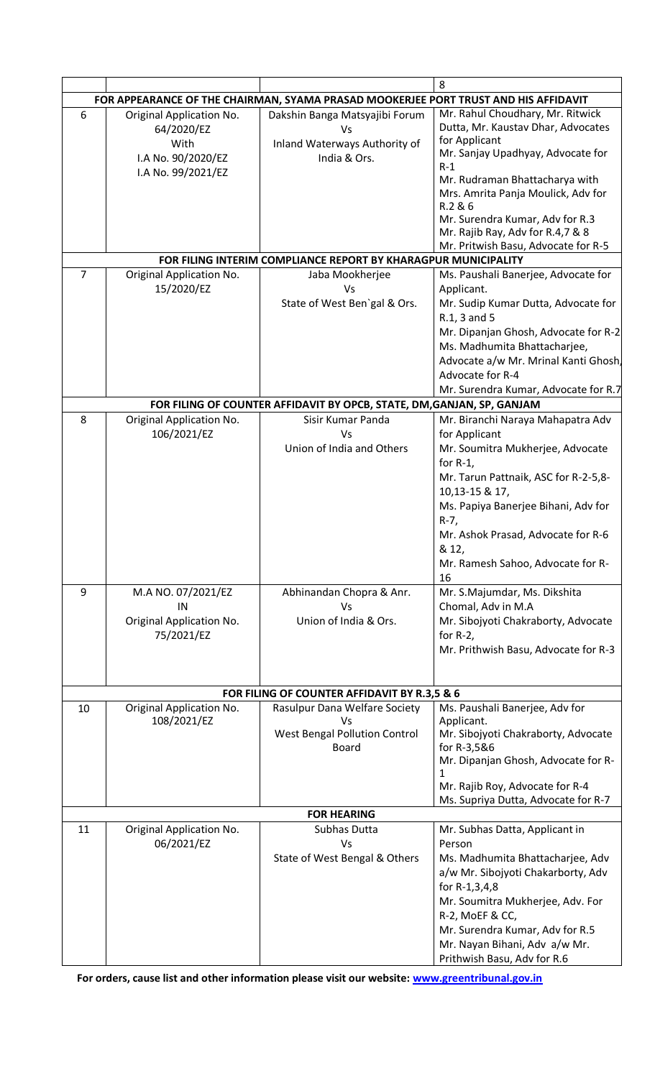|                                                                                     |                                         |                                                                | 8                                                                              |  |  |
|-------------------------------------------------------------------------------------|-----------------------------------------|----------------------------------------------------------------|--------------------------------------------------------------------------------|--|--|
| FOR APPEARANCE OF THE CHAIRMAN, SYAMA PRASAD MOOKERJEE PORT TRUST AND HIS AFFIDAVIT |                                         |                                                                |                                                                                |  |  |
| 6                                                                                   | Original Application No.<br>64/2020/EZ  | Dakshin Banga Matsyajibi Forum<br>Vs                           | Mr. Rahul Choudhary, Mr. Ritwick<br>Dutta, Mr. Kaustav Dhar, Advocates         |  |  |
|                                                                                     | With<br>I.A No. 90/2020/EZ              | Inland Waterways Authority of<br>India & Ors.                  | for Applicant<br>Mr. Sanjay Upadhyay, Advocate for<br>$R-1$                    |  |  |
|                                                                                     | I.A No. 99/2021/EZ                      |                                                                | Mr. Rudraman Bhattacharya with<br>Mrs. Amrita Panja Moulick, Adv for           |  |  |
|                                                                                     |                                         |                                                                | R.2 & 6<br>Mr. Surendra Kumar, Adv for R.3<br>Mr. Rajib Ray, Adv for R.4,7 & 8 |  |  |
|                                                                                     |                                         |                                                                | Mr. Pritwish Basu, Advocate for R-5                                            |  |  |
|                                                                                     |                                         | FOR FILING INTERIM COMPLIANCE REPORT BY KHARAGPUR MUNICIPALITY |                                                                                |  |  |
| $\overline{7}$                                                                      | Original Application No.<br>15/2020/EZ  | Jaba Mookherjee<br>Vs                                          | Ms. Paushali Banerjee, Advocate for<br>Applicant.                              |  |  |
|                                                                                     |                                         | State of West Ben'gal & Ors.                                   | Mr. Sudip Kumar Dutta, Advocate for<br>R.1, 3 and 5                            |  |  |
|                                                                                     |                                         |                                                                | Mr. Dipanjan Ghosh, Advocate for R-2<br>Ms. Madhumita Bhattacharjee,           |  |  |
|                                                                                     |                                         |                                                                | Advocate a/w Mr. Mrinal Kanti Ghosh,<br>Advocate for R-4                       |  |  |
|                                                                                     |                                         |                                                                | Mr. Surendra Kumar, Advocate for R.7                                           |  |  |
| FOR FILING OF COUNTER AFFIDAVIT BY OPCB, STATE, DM, GANJAN, SP, GANJAM              |                                         |                                                                |                                                                                |  |  |
| 8                                                                                   | Original Application No.<br>106/2021/EZ | Sisir Kumar Panda<br>Vs                                        | Mr. Biranchi Naraya Mahapatra Adv<br>for Applicant                             |  |  |
|                                                                                     |                                         | Union of India and Others                                      | Mr. Soumitra Mukherjee, Advocate<br>for $R-1$ ,                                |  |  |
|                                                                                     |                                         |                                                                | Mr. Tarun Pattnaik, ASC for R-2-5,8-<br>10,13-15 & 17,                         |  |  |
|                                                                                     |                                         |                                                                | Ms. Papiya Banerjee Bihani, Adv for<br>$R-7$ ,                                 |  |  |
|                                                                                     |                                         |                                                                | Mr. Ashok Prasad, Advocate for R-6<br>& 12,                                    |  |  |
|                                                                                     |                                         |                                                                | Mr. Ramesh Sahoo, Advocate for R-<br>16                                        |  |  |
| 9                                                                                   | M.A NO. 07/2021/EZ                      | Abhinandan Chopra & Anr.                                       | Mr. S.Majumdar, Ms. Dikshita                                                   |  |  |
|                                                                                     | IN<br>Original Application No.          | Vs<br>Union of India & Ors.                                    | Chomal, Adv in M.A<br>Mr. Sibojyoti Chakraborty, Advocate                      |  |  |
|                                                                                     | 75/2021/EZ                              |                                                                | for $R-2$ ,<br>Mr. Prithwish Basu, Advocate for R-3                            |  |  |
|                                                                                     |                                         |                                                                |                                                                                |  |  |
|                                                                                     |                                         | FOR FILING OF COUNTER AFFIDAVIT BY R.3,5 & 6                   |                                                                                |  |  |
| 10                                                                                  | Original Application No.<br>108/2021/EZ | Rasulpur Dana Welfare Society<br>Vs                            | Ms. Paushali Banerjee, Adv for<br>Applicant.                                   |  |  |
|                                                                                     |                                         | <b>West Bengal Pollution Control</b><br><b>Board</b>           | Mr. Sibojyoti Chakraborty, Advocate<br>for R-3,5&6                             |  |  |
|                                                                                     |                                         |                                                                | Mr. Dipanjan Ghosh, Advocate for R-<br>1                                       |  |  |
|                                                                                     |                                         |                                                                | Mr. Rajib Roy, Advocate for R-4<br>Ms. Supriya Dutta, Advocate for R-7         |  |  |
|                                                                                     |                                         | <b>FOR HEARING</b>                                             |                                                                                |  |  |
| 11                                                                                  | Original Application No.<br>06/2021/EZ  | Subhas Dutta<br>Vs                                             | Mr. Subhas Datta, Applicant in<br>Person                                       |  |  |
|                                                                                     |                                         | State of West Bengal & Others                                  | Ms. Madhumita Bhattacharjee, Adv<br>a/w Mr. Sibojyoti Chakarborty, Adv         |  |  |
|                                                                                     |                                         |                                                                | for R-1,3,4,8<br>Mr. Soumitra Mukherjee, Adv. For                              |  |  |
|                                                                                     |                                         |                                                                | R-2, MoEF & CC,<br>Mr. Surendra Kumar, Adv for R.5                             |  |  |
|                                                                                     |                                         |                                                                | Mr. Nayan Bihani, Adv a/w Mr.                                                  |  |  |
|                                                                                     |                                         |                                                                | Prithwish Basu, Adv for R.6                                                    |  |  |

**For orders, cause list and other information please visit our website: [www.greentribunal.gov.in](http://www.greentribunal.gov.in/)**